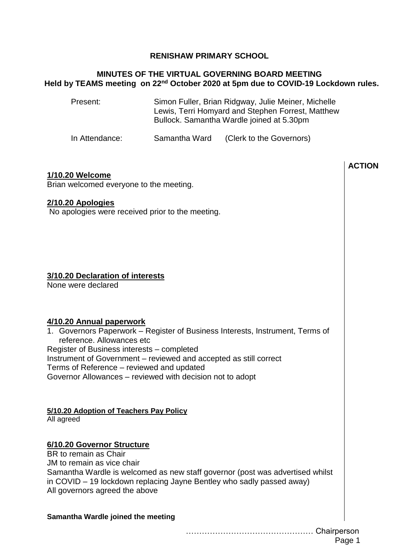## **RENISHAW PRIMARY SCHOOL**

## **MINUTES OF THE VIRTUAL GOVERNING BOARD MEETING Held by TEAMS meeting on 22nd October 2020 at 5pm due to COVID-19 Lockdown rules.**

Present: Simon Fuller, Brian Ridgway, Julie Meiner, Michelle Lewis, Terri Homyard and Stephen Forrest, Matthew Bullock. Samantha Wardle joined at 5.30pm

In Attendance: Samantha Ward (Clerk to the Governors)

## **1/10.20 Welcome**

Brian welcomed everyone to the meeting.

### **2/10.20 Apologies**

No apologies were received prior to the meeting.

## **3/10.20 Declaration of interests**

None were declared

## **4/10.20 Annual paperwork**

1. Governors Paperwork – Register of Business Interests, Instrument, Terms of reference. Allowances etc Register of Business interests – completed Instrument of Government – reviewed and accepted as still correct Terms of Reference – reviewed and updated Governor Allowances – reviewed with decision not to adopt

## **5/10.20 Adoption of Teachers Pay Policy**

All agreed

# **6/10.20 Governor Structure**

BR to remain as Chair JM to remain as vice chair Samantha Wardle is welcomed as new staff governor (post was advertised whilst in COVID – 19 lockdown replacing Jayne Bentley who sadly passed away) All governors agreed the above

#### **Samantha Wardle joined the meeting**

**ACTION**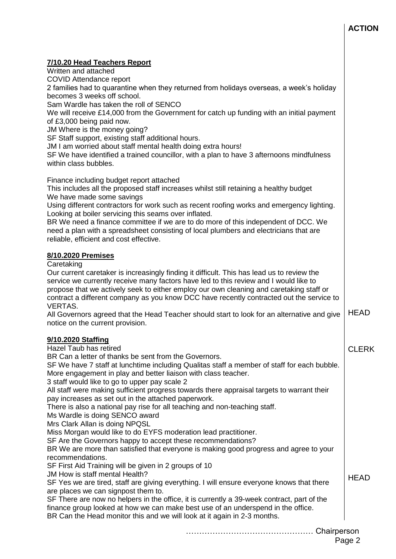## **ACTION**

### **7/10.20 Head Teachers Report**

Written and attached

COVID Attendance report

2 families had to quarantine when they returned from holidays overseas, a week's holiday becomes 3 weeks off school.

Sam Wardle has taken the roll of SENCO

We will receive £14,000 from the Government for catch up funding with an initial payment of £3,000 being paid now.

JM Where is the money going?

SF Staff support, existing staff additional hours.

JM I am worried about staff mental health doing extra hours!

SF We have identified a trained councillor, with a plan to have 3 afternoons mindfulness within class bubbles.

Finance including budget report attached

This includes all the proposed staff increases whilst still retaining a healthy budget We have made some savings

Using different contractors for work such as recent roofing works and emergency lighting. Looking at boiler servicing this seams over inflated.

BR We need a finance committee if we are to do more of this independent of DCC. We need a plan with a spreadsheet consisting of local plumbers and electricians that are reliable, efficient and cost effective.

#### **8/10.2020 Premises**

**Caretaking** 

Our current caretaker is increasingly finding it difficult. This has lead us to review the service we currently receive many factors have led to this review and I would like to propose that we actively seek to either employ our own cleaning and caretaking staff or contract a different company as you know DCC have recently contracted out the service to VERTAS.

All Governors agreed that the Head Teacher should start to look for an alternative and give notice on the current provision. **HEAD** 

#### **9/10.2020 Staffing**

Hazel Taub has retired

BR Can a letter of thanks be sent from the Governors.

SF We have 7 staff at lunchtime including Qualitas staff a member of staff for each bubble. More engagement in play and better liaison with class teacher.

3 staff would like to go to upper pay scale 2

All staff were making sufficient progress towards there appraisal targets to warrant their pay increases as set out in the attached paperwork.

There is also a national pay rise for all teaching and non-teaching staff.

Ms Wardle is doing SENCO award

Mrs Clark Allan is doing NPQSL

Miss Morgan would like to do EYFS moderation lead practitioner.

SF Are the Governors happy to accept these recommendations?

BR We are more than satisfied that everyone is making good progress and agree to your recommendations.

SF First Aid Training will be given in 2 groups of 10

JM How is staff mental Health?

SF Yes we are tired, staff are giving everything. I will ensure everyone knows that there are places we can signpost them to.

SF There are now no helpers in the office, it is currently a 39-week contract, part of the finance group looked at how we can make best use of an underspend in the office. BR Can the Head monitor this and we will look at it again in 2-3 months.

**HFAD** 

CLERK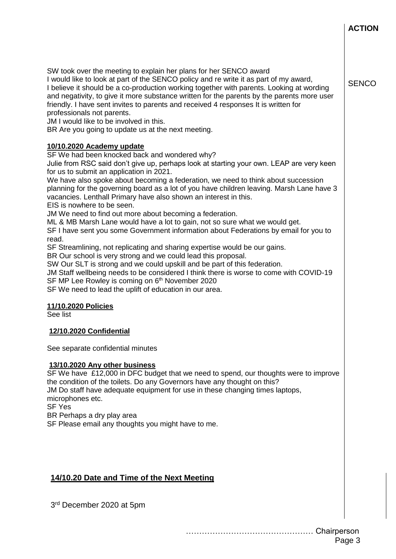**ACTION**

**SENCO** 

SW took over the meeting to explain her plans for her SENCO award

I would like to look at part of the SENCO policy and re write it as part of my award, I believe it should be a co-production working together with parents. Looking at wording and negativity, to give it more substance written for the parents by the parents more user friendly. I have sent invites to parents and received 4 responses It is written for professionals not parents.

JM I would like to be involved in this.

BR Are you going to update us at the next meeting.

## **10/10.2020 Academy update**

SF We had been knocked back and wondered why?

Julie from RSC said don't give up, perhaps look at starting your own. LEAP are very keen for us to submit an application in 2021.

We have also spoke about becoming a federation, we need to think about succession planning for the governing board as a lot of you have children leaving. Marsh Lane have 3 vacancies. Lenthall Primary have also shown an interest in this.

EIS is nowhere to be seen.

JM We need to find out more about becoming a federation.

ML & MB Marsh Lane would have a lot to gain, not so sure what we would get.

SF I have sent you some Government information about Federations by email for you to read.

SF Streamlining, not replicating and sharing expertise would be our gains.

BR Our school is very strong and we could lead this proposal.

SW Our SLT is strong and we could upskill and be part of this federation.

JM Staff wellbeing needs to be considered I think there is worse to come with COVID-19 SF MP Lee Rowley is coming on 6<sup>th</sup> November 2020

SF We need to lead the uplift of education in our area.

## **11/10.2020 Policies**

See list

## **12/10.2020 Confidential**

See separate confidential minutes

#### **13/10.2020 Any other business**

SF We have £12,000 in DFC budget that we need to spend, our thoughts were to improve the condition of the toilets. Do any Governors have any thought on this? JM Do staff have adequate equipment for use in these changing times laptops, microphones etc.

SF Yes

BR Perhaps a dry play area

SF Please email any thoughts you might have to me.

# **14/10.20 Date and Time of the Next Meeting**

3 rd December 2020 at 5pm

………………………………………… Chairperson Page 3